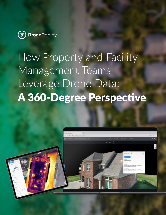

# How Property and Facility Management Teams Leverage Drone Data: A 360-Degree Perspective

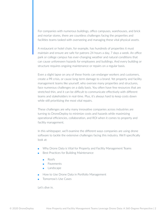For companies with numerous buildings, office campuses, warehouses, and brick and mortar stores, there are countless challenges facing the properties and facilities teams tasked with overseeing and managing these vital physical assets.

A restaurant or hotel chain, for example, has hundreds of properties it must maintain and ensure are safe for patrons 24 hours a day, 7 days a week. An office park or college campus has ever-changing weather and natural conditions that can cause unforeseen hazards for employees and buildings. And every building or structure requires ongoing maintenance or repairs on a regular basis.

Even a slight lapse on any of these fronts can endanger workers and customers, create a PR crisis, or cause long-term damage to a brand. Yet property and facility management teams like yourself, who oversee many properties and structures, face numerous challenges on a daily basis. You often have few resources that are stretched thin, and it can be difficult to communicate effectively with different teams and stakeholders in real-time. Plus, it's always hard to keep costs down while still prioritizing the most vital repairs.

These challenges are why many innovative companies across industries are turning to DroneDeploy to minimize costs and hazards while maximizing operational efficiencies, collaboration, and ROI when it comes to property and facility management.

In this whitepaper, we'll examine the different ways companies are using drone software to tackle the extensive challenges facing this industry. We'll specifically look at:

- Why Drone Data is Vital for Property and Facility Management Teams
- **Best Practices for Building Maintenance** 
	- Roofs
	- Pavements
	- Landscape
- How to Use Drone Data in Portfolio Management
- Tomorrow's Use Cases

Let's dive in.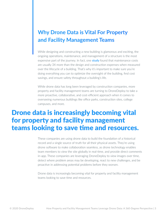## **Why Drone Data is Vital For Property and Facility Management Teams**

While designing and constructing a new building is glamorous and exciting, the ongoing operations, maintenance, and management of a structure is the most expensive part of the journey. In fact, one **study** found that maintenance costs are usually 3X more than the design and construction expenses when measured over the lifecycle of a building. That's why it's important to make sure you're doing everything you can to optimize the oversight of the building, find cost savings, and ensure safety throughout a building's life.

While drone data has long been leveraged by construction companies, more property and facility management teams are turning to DroneDeploy to take a more proactive, collaborative, and cost-efficient approach when it comes to overseeing numerous buildings like office parks, construction sites, college campuses, and more.

# Drone data is increasingly becoming vital for property and facility management teams looking to save time and resources.

These companies are using drone data to build the foundation of a historical record and a single source of truth for all their physical assets. They're using drone software to make collaboration seamless, as drone technology enables team members to view the site globally in real-time, and provide direct comments in-app. These companies are leveraging DroneDeploy to view images over time, detect where problem areas may be developing, react to new challenges, and be proactive in addressing potential problems before they worsen.

Drone data is increasingly becoming vital for property and facility management teams looking to save time and resources.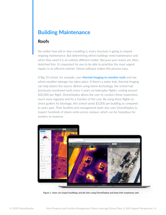## **Building Maintenance**

#### Roofs

No matter how old or new a building is, every structure is going to require ongoing maintenance. But determining which buildings need maintenance and when they need it is an entirely different matter. Because your teams are often stretched thin, it's important for you to be able to prioritize the most urgent repairs in an efficient manner. Drone software makes this process easy.

A Big 10 school, for example, uses **thermal imaging to monitor roofs** and see where weather damage has taken place. If there's a water leak, thermal imaging can help detect the source. Before using drone technology, the school had previously monitored roofs every 5 years via helicopter flights, costing around \$20,000 per flight. DroneDeploy allows the user to conduct these inspections much more regularly and for a fraction of the cost. By using these flights to check gutters for blockage, this school saved \$3,000 per building as compared to years past. Their facilities and management team also uses DroneDeploy to inspect hundreds of steam vents across campus, which can be hazardous for workers to examine.



**Figure 1. Users can inspect buildings and job sites using DroneDeploy and keep their employees safe.**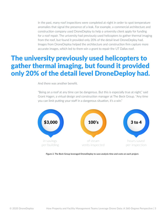In the past, many roof inspections were completed at night in order to spot temperature anomalies that signal the presence of a leak. For example, a commercial architecture and construction company used DroneDeploy to help a university client apply for funding for a roof repair. The university had previously used helicopters to gather thermal imaging from the roof, but found it provided only 20% of the detail level DroneDeploy had. Images from DroneDeploy helped the architecture and construction firm capture more accurate images, which led to them win a grant to repair the UT Dallas roof.

## The university previously used helicopters to gather thermal imaging, but found it provided only 20% of the detail level DroneDeploy had.

And there was another benefit.

"Being on a roof at any time can be dangerous. But this is especially true at night," said Grant Hagen, a virtual design and construction manager at The Beck Group. "Any time you can limit putting your staff in a dangerous situation, it's a win."



**Figure 2. The Beck Group leveraged DroneDeploy to save analysis time and costs on each project.**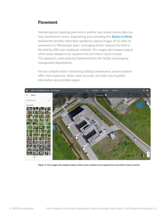#### Pavement

Monitoring and repairing pavement is another area where drones data can help maintenance teams. Engineering and consulting firm **Bolton & Menk** realized the benefits when they needed to capture images of 26 miles of pavement in a Minnesotan town. Leveraging drones reduced the time in the field by 60% over traditional methods. The images also helped analyze which areas needed to be repaired first and inform future records. This approach could easily be implemented by the facility and property management departments.

For any company that's conducting building maintenance, drone solutions offer a less expensive, faster, more accurate, and safer way to gather information and prioritize repairs.



**Figure 3. The images also helped analyze which areas needed to be repaired first and inform future records.**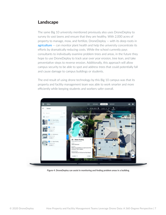#### Landscape

The same Big 10 university mentioned previously also uses DroneDeploy to survey its vast lawns and ensure that they are healthy. With 2,000 acres of property to manage, mow, and fertilize, DroneDeploy — with its deep roots in **agriculture** – can monitor plant health and help the university concentrate its efforts by dramatically reducing costs. While the school currently pays consultants to individually examine problem trees and areas, in the future they hope to use DroneDeploy to track year over year erosion, tree lean, and take preventative steps to reverse erosion. Additionally, this approach will allow campus security to be able to spot and address trees that could potentially fall and cause damage to campus buildings or students.

The end result of using drone technology by this Big 10 campus was that its property and facility management team was able to work smarter and more efficiently while keeping students and workers safer overall.



**Figure 4. DroneDeploy can assist in monitoring and finding problem areas in a building.**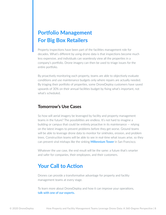## **Portfolio Management For Big Box Retailers**

Property inspections have been part of the facilities management role for decades. What's different by using drone data is that inspections become much less expensive, and individuals can seamlessly view all the properties in a company's portfolio. Drone imagery can then be used to triage issues for the entire portfolio.

By proactively monitoring each property, teams are able to objectively evaluate conditions and use maintenance budgets only where repairs are actually needed. By triaging their portfolio of properties, some DroneDeploy customers have saved upwards of 30% on their annual facilities budget by fixing what's important, not what's scheduled.

#### Tomorrow's Use Cases

So how will aerial imagery be leveraged by facility and property management teams in the future? The possibilities are endless. It's not hard to imagine a building or campus that could be entirely proactive in its maintenance — relying on the latest images to prevent problems before they get worse. Ground teams will be able to leverage drone data to monitor for sinkholes, erosion, and problem trees. Construction teams will be able to see in real-time what issues arise, so they can prevent viral mishaps like the sinking **Millennium Tower** in San Francisco.

Whatever the use case, the end result will be the same: a future that's smarter and safer for companies, their employees, and their customers.

### **Your Call to Action**

Drones can provide a transformative advantage for property and facility management teams at every stage.

To learn more about DroneDeploy and how it can improve your operations, **talk with one of our experts.**